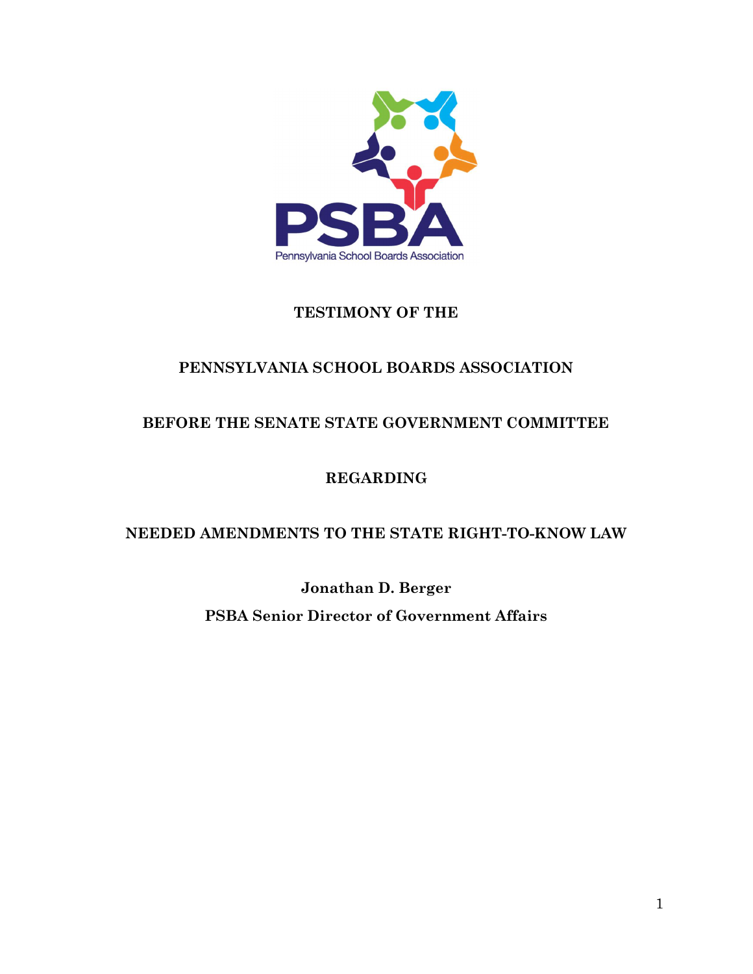

## TESTIMONY OF THE

# PENNSYLVANIA SCHOOL BOARDS ASSOCIATION

# BEFORE THE SENATE STATE GOVERNMENT COMMITTEE

# REGARDING

## NEEDED AMENDMENTS TO THE STATE RIGHT-TO-KNOW LAW

Jonathan D. Berger PSBA Senior Director of Government Affairs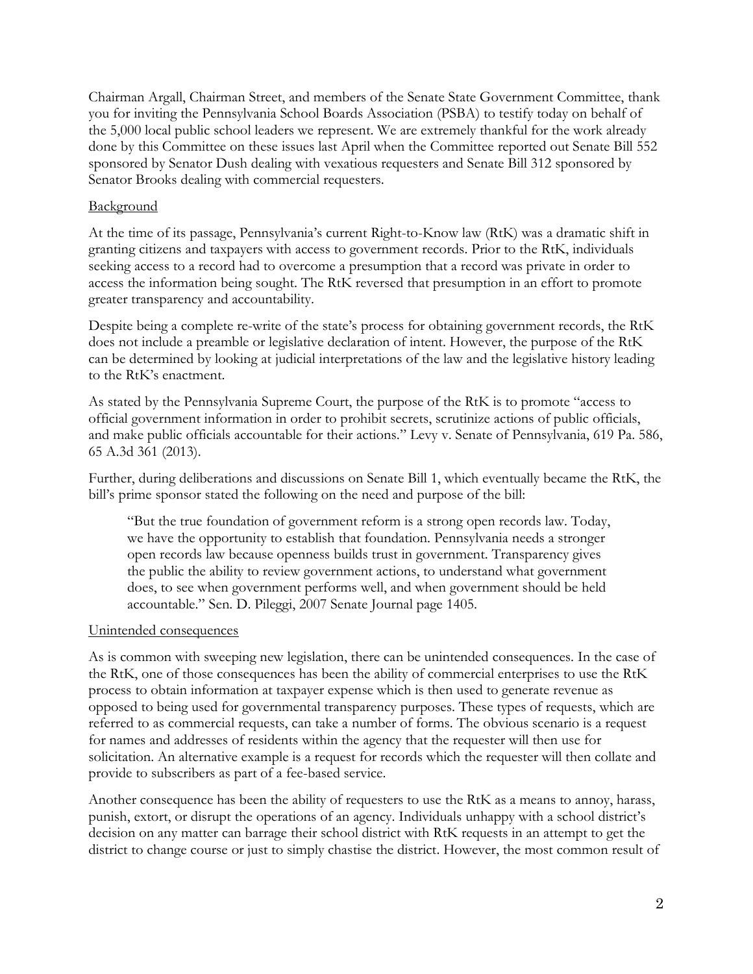Chairman Argall, Chairman Street, and members of the Senate State Government Committee, thank you for inviting the Pennsylvania School Boards Association (PSBA) to testify today on behalf of the 5,000 local public school leaders we represent. We are extremely thankful for the work already done by this Committee on these issues last April when the Committee reported out Senate Bill 552 sponsored by Senator Dush dealing with vexatious requesters and Senate Bill 312 sponsored by Senator Brooks dealing with commercial requesters.

### Background

At the time of its passage, Pennsylvania's current Right-to-Know law (RtK) was a dramatic shift in granting citizens and taxpayers with access to government records. Prior to the RtK, individuals seeking access to a record had to overcome a presumption that a record was private in order to access the information being sought. The RtK reversed that presumption in an effort to promote greater transparency and accountability.

Despite being a complete re-write of the state's process for obtaining government records, the RtK does not include a preamble or legislative declaration of intent. However, the purpose of the RtK can be determined by looking at judicial interpretations of the law and the legislative history leading to the RtK's enactment.

As stated by the Pennsylvania Supreme Court, the purpose of the RtK is to promote "access to official government information in order to prohibit secrets, scrutinize actions of public officials, and make public officials accountable for their actions." Levy v. Senate of Pennsylvania, 619 Pa. 586, 65 A.3d 361 (2013).

Further, during deliberations and discussions on Senate Bill 1, which eventually became the RtK, the bill's prime sponsor stated the following on the need and purpose of the bill:

"But the true foundation of government reform is a strong open records law. Today, we have the opportunity to establish that foundation. Pennsylvania needs a stronger open records law because openness builds trust in government. Transparency gives the public the ability to review government actions, to understand what government does, to see when government performs well, and when government should be held accountable." Sen. D. Pileggi, 2007 Senate Journal page 1405.

### Unintended consequences

As is common with sweeping new legislation, there can be unintended consequences. In the case of the RtK, one of those consequences has been the ability of commercial enterprises to use the RtK process to obtain information at taxpayer expense which is then used to generate revenue as opposed to being used for governmental transparency purposes. These types of requests, which are referred to as commercial requests, can take a number of forms. The obvious scenario is a request for names and addresses of residents within the agency that the requester will then use for solicitation. An alternative example is a request for records which the requester will then collate and provide to subscribers as part of a fee-based service.

Another consequence has been the ability of requesters to use the RtK as a means to annoy, harass, punish, extort, or disrupt the operations of an agency. Individuals unhappy with a school district's decision on any matter can barrage their school district with RtK requests in an attempt to get the district to change course or just to simply chastise the district. However, the most common result of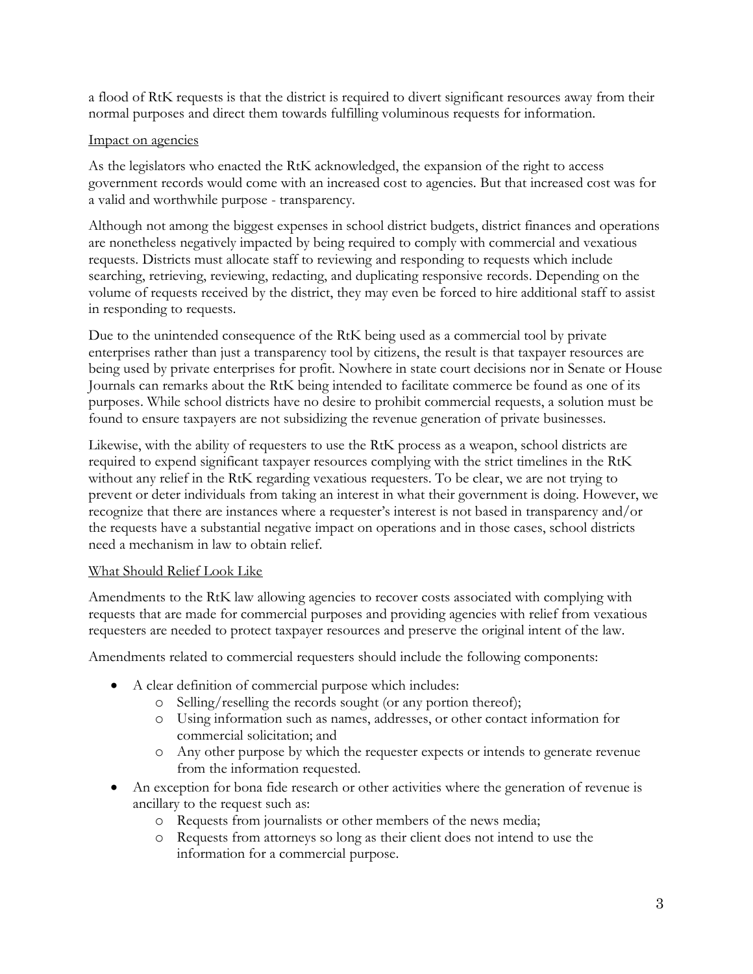a flood of RtK requests is that the district is required to divert significant resources away from their normal purposes and direct them towards fulfilling voluminous requests for information.

### Impact on agencies

As the legislators who enacted the RtK acknowledged, the expansion of the right to access government records would come with an increased cost to agencies. But that increased cost was for a valid and worthwhile purpose - transparency.

Although not among the biggest expenses in school district budgets, district finances and operations are nonetheless negatively impacted by being required to comply with commercial and vexatious requests. Districts must allocate staff to reviewing and responding to requests which include searching, retrieving, reviewing, redacting, and duplicating responsive records. Depending on the volume of requests received by the district, they may even be forced to hire additional staff to assist in responding to requests.

Due to the unintended consequence of the RtK being used as a commercial tool by private enterprises rather than just a transparency tool by citizens, the result is that taxpayer resources are being used by private enterprises for profit. Nowhere in state court decisions nor in Senate or House Journals can remarks about the RtK being intended to facilitate commerce be found as one of its purposes. While school districts have no desire to prohibit commercial requests, a solution must be found to ensure taxpayers are not subsidizing the revenue generation of private businesses.

Likewise, with the ability of requesters to use the RtK process as a weapon, school districts are required to expend significant taxpayer resources complying with the strict timelines in the RtK without any relief in the RtK regarding vexatious requesters. To be clear, we are not trying to prevent or deter individuals from taking an interest in what their government is doing. However, we recognize that there are instances where a requester's interest is not based in transparency and/or the requests have a substantial negative impact on operations and in those cases, school districts need a mechanism in law to obtain relief.

### What Should Relief Look Like

Amendments to the RtK law allowing agencies to recover costs associated with complying with requests that are made for commercial purposes and providing agencies with relief from vexatious requesters are needed to protect taxpayer resources and preserve the original intent of the law.

Amendments related to commercial requesters should include the following components:

- A clear definition of commercial purpose which includes:
	- o Selling/reselling the records sought (or any portion thereof);
	- o Using information such as names, addresses, or other contact information for commercial solicitation; and
	- o Any other purpose by which the requester expects or intends to generate revenue from the information requested.
- An exception for bona fide research or other activities where the generation of revenue is ancillary to the request such as:
	- o Requests from journalists or other members of the news media;
	- o Requests from attorneys so long as their client does not intend to use the information for a commercial purpose.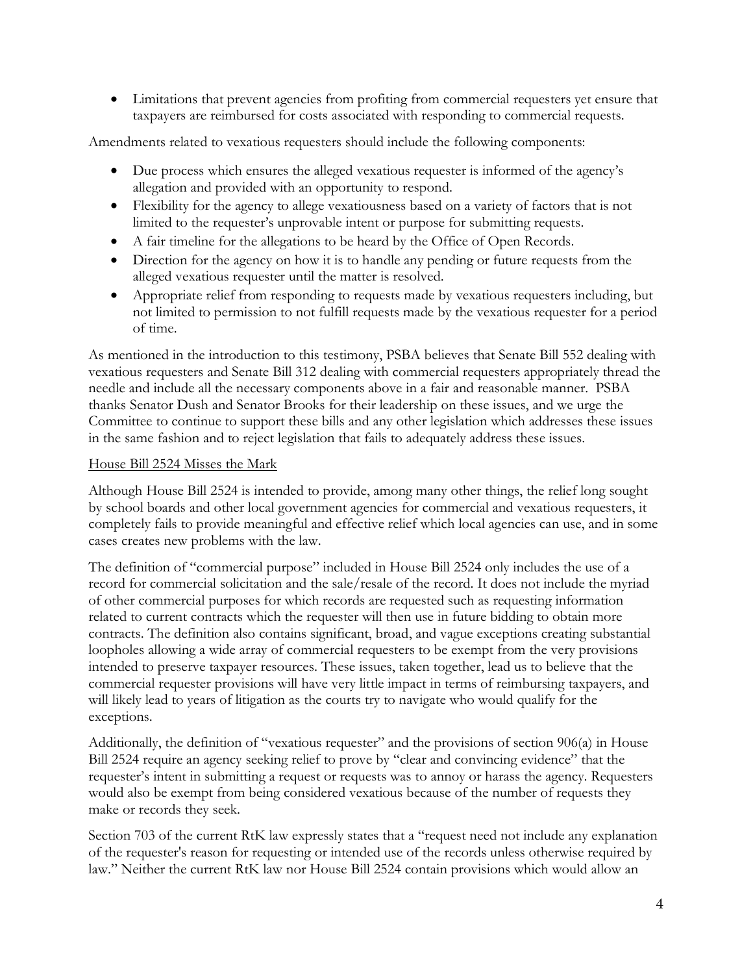Limitations that prevent agencies from profiting from commercial requesters yet ensure that taxpayers are reimbursed for costs associated with responding to commercial requests.

Amendments related to vexatious requesters should include the following components:

- Due process which ensures the alleged vexatious requester is informed of the agency's allegation and provided with an opportunity to respond.
- Flexibility for the agency to allege vexatiousness based on a variety of factors that is not limited to the requester's unprovable intent or purpose for submitting requests.
- A fair timeline for the allegations to be heard by the Office of Open Records.
- Direction for the agency on how it is to handle any pending or future requests from the alleged vexatious requester until the matter is resolved.
- Appropriate relief from responding to requests made by vexatious requesters including, but not limited to permission to not fulfill requests made by the vexatious requester for a period of time.

As mentioned in the introduction to this testimony, PSBA believes that Senate Bill 552 dealing with vexatious requesters and Senate Bill 312 dealing with commercial requesters appropriately thread the needle and include all the necessary components above in a fair and reasonable manner. PSBA thanks Senator Dush and Senator Brooks for their leadership on these issues, and we urge the Committee to continue to support these bills and any other legislation which addresses these issues in the same fashion and to reject legislation that fails to adequately address these issues.

### House Bill 2524 Misses the Mark

Although House Bill 2524 is intended to provide, among many other things, the relief long sought by school boards and other local government agencies for commercial and vexatious requesters, it completely fails to provide meaningful and effective relief which local agencies can use, and in some cases creates new problems with the law.

The definition of "commercial purpose" included in House Bill 2524 only includes the use of a record for commercial solicitation and the sale/resale of the record. It does not include the myriad of other commercial purposes for which records are requested such as requesting information related to current contracts which the requester will then use in future bidding to obtain more contracts. The definition also contains significant, broad, and vague exceptions creating substantial loopholes allowing a wide array of commercial requesters to be exempt from the very provisions intended to preserve taxpayer resources. These issues, taken together, lead us to believe that the commercial requester provisions will have very little impact in terms of reimbursing taxpayers, and will likely lead to years of litigation as the courts try to navigate who would qualify for the exceptions.

Additionally, the definition of "vexatious requester" and the provisions of section 906(a) in House Bill 2524 require an agency seeking relief to prove by "clear and convincing evidence" that the requester's intent in submitting a request or requests was to annoy or harass the agency. Requesters would also be exempt from being considered vexatious because of the number of requests they make or records they seek.

Section 703 of the current RtK law expressly states that a "request need not include any explanation of the requester's reason for requesting or intended use of the records unless otherwise required by law." Neither the current RtK law nor House Bill 2524 contain provisions which would allow an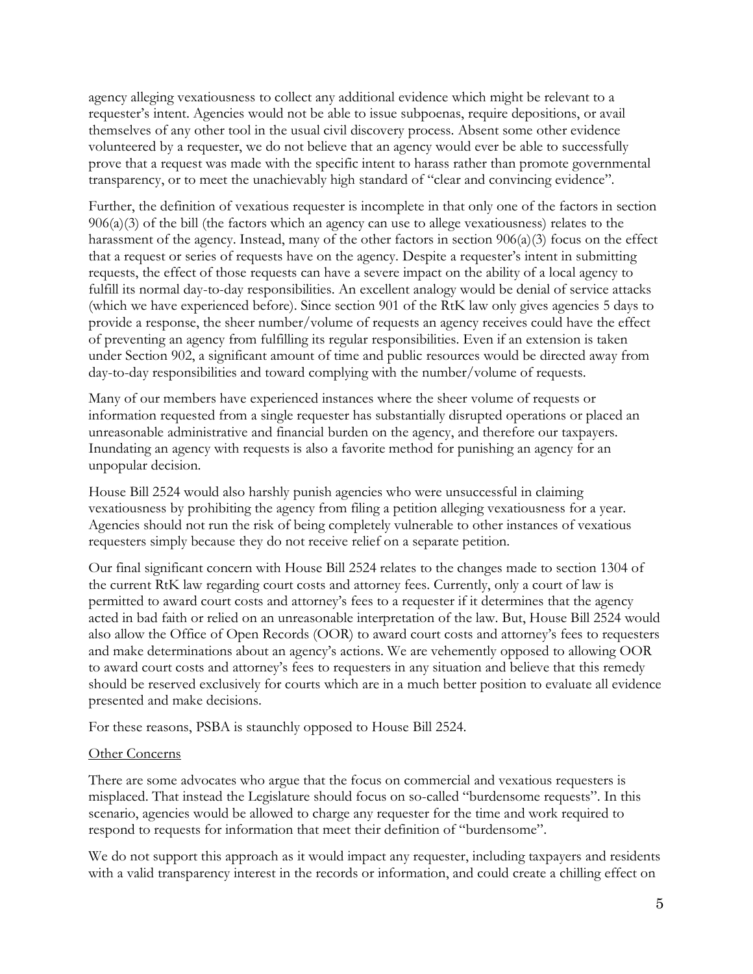agency alleging vexatiousness to collect any additional evidence which might be relevant to a requester's intent. Agencies would not be able to issue subpoenas, require depositions, or avail themselves of any other tool in the usual civil discovery process. Absent some other evidence volunteered by a requester, we do not believe that an agency would ever be able to successfully prove that a request was made with the specific intent to harass rather than promote governmental transparency, or to meet the unachievably high standard of "clear and convincing evidence".

Further, the definition of vexatious requester is incomplete in that only one of the factors in section 906(a)(3) of the bill (the factors which an agency can use to allege vexatiousness) relates to the harassment of the agency. Instead, many of the other factors in section 906(a)(3) focus on the effect that a request or series of requests have on the agency. Despite a requester's intent in submitting requests, the effect of those requests can have a severe impact on the ability of a local agency to fulfill its normal day-to-day responsibilities. An excellent analogy would be denial of service attacks (which we have experienced before). Since section 901 of the RtK law only gives agencies 5 days to provide a response, the sheer number/volume of requests an agency receives could have the effect of preventing an agency from fulfilling its regular responsibilities. Even if an extension is taken under Section 902, a significant amount of time and public resources would be directed away from day-to-day responsibilities and toward complying with the number/volume of requests.

Many of our members have experienced instances where the sheer volume of requests or information requested from a single requester has substantially disrupted operations or placed an unreasonable administrative and financial burden on the agency, and therefore our taxpayers. Inundating an agency with requests is also a favorite method for punishing an agency for an unpopular decision.

House Bill 2524 would also harshly punish agencies who were unsuccessful in claiming vexatiousness by prohibiting the agency from filing a petition alleging vexatiousness for a year. Agencies should not run the risk of being completely vulnerable to other instances of vexatious requesters simply because they do not receive relief on a separate petition.

Our final significant concern with House Bill 2524 relates to the changes made to section 1304 of the current RtK law regarding court costs and attorney fees. Currently, only a court of law is permitted to award court costs and attorney's fees to a requester if it determines that the agency acted in bad faith or relied on an unreasonable interpretation of the law. But, House Bill 2524 would also allow the Office of Open Records (OOR) to award court costs and attorney's fees to requesters and make determinations about an agency's actions. We are vehemently opposed to allowing OOR to award court costs and attorney's fees to requesters in any situation and believe that this remedy should be reserved exclusively for courts which are in a much better position to evaluate all evidence presented and make decisions.

For these reasons, PSBA is staunchly opposed to House Bill 2524.

#### Other Concerns

There are some advocates who argue that the focus on commercial and vexatious requesters is misplaced. That instead the Legislature should focus on so-called "burdensome requests". In this scenario, agencies would be allowed to charge any requester for the time and work required to respond to requests for information that meet their definition of "burdensome".

We do not support this approach as it would impact any requester, including taxpayers and residents with a valid transparency interest in the records or information, and could create a chilling effect on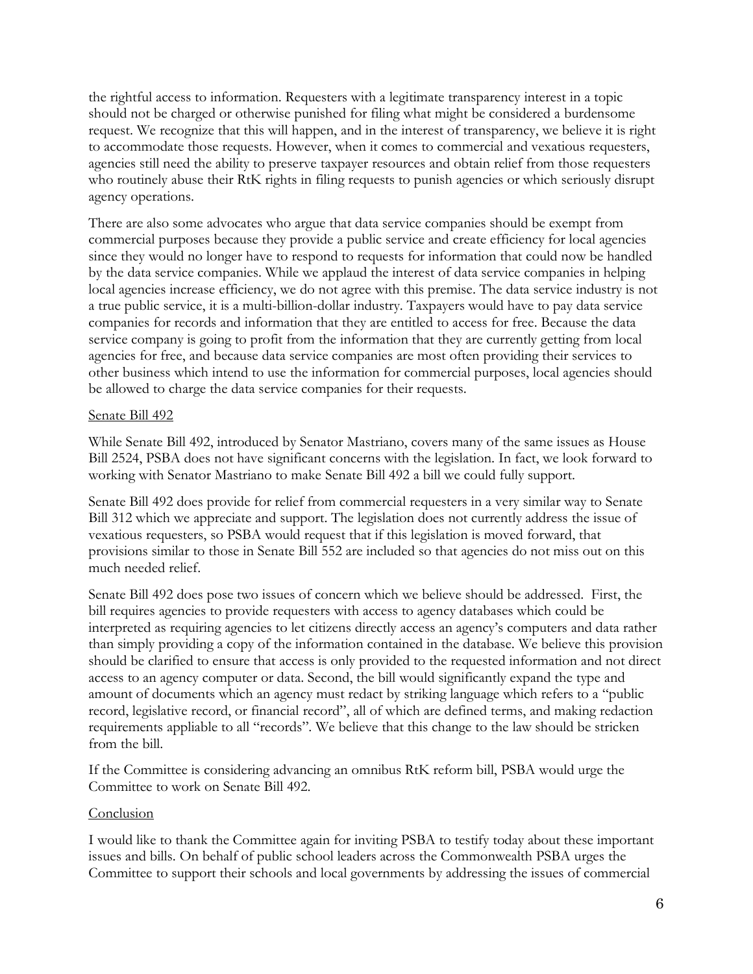the rightful access to information. Requesters with a legitimate transparency interest in a topic should not be charged or otherwise punished for filing what might be considered a burdensome request. We recognize that this will happen, and in the interest of transparency, we believe it is right to accommodate those requests. However, when it comes to commercial and vexatious requesters, agencies still need the ability to preserve taxpayer resources and obtain relief from those requesters who routinely abuse their RtK rights in filing requests to punish agencies or which seriously disrupt agency operations.

There are also some advocates who argue that data service companies should be exempt from commercial purposes because they provide a public service and create efficiency for local agencies since they would no longer have to respond to requests for information that could now be handled by the data service companies. While we applaud the interest of data service companies in helping local agencies increase efficiency, we do not agree with this premise. The data service industry is not a true public service, it is a multi-billion-dollar industry. Taxpayers would have to pay data service companies for records and information that they are entitled to access for free. Because the data service company is going to profit from the information that they are currently getting from local agencies for free, and because data service companies are most often providing their services to other business which intend to use the information for commercial purposes, local agencies should be allowed to charge the data service companies for their requests.

### Senate Bill 492

While Senate Bill 492, introduced by Senator Mastriano, covers many of the same issues as House Bill 2524, PSBA does not have significant concerns with the legislation. In fact, we look forward to working with Senator Mastriano to make Senate Bill 492 a bill we could fully support.

Senate Bill 492 does provide for relief from commercial requesters in a very similar way to Senate Bill 312 which we appreciate and support. The legislation does not currently address the issue of vexatious requesters, so PSBA would request that if this legislation is moved forward, that provisions similar to those in Senate Bill 552 are included so that agencies do not miss out on this much needed relief.

Senate Bill 492 does pose two issues of concern which we believe should be addressed. First, the bill requires agencies to provide requesters with access to agency databases which could be interpreted as requiring agencies to let citizens directly access an agency's computers and data rather than simply providing a copy of the information contained in the database. We believe this provision should be clarified to ensure that access is only provided to the requested information and not direct access to an agency computer or data. Second, the bill would significantly expand the type and amount of documents which an agency must redact by striking language which refers to a "public record, legislative record, or financial record", all of which are defined terms, and making redaction requirements appliable to all "records". We believe that this change to the law should be stricken from the bill.

If the Committee is considering advancing an omnibus RtK reform bill, PSBA would urge the Committee to work on Senate Bill 492.

#### Conclusion

I would like to thank the Committee again for inviting PSBA to testify today about these important issues and bills. On behalf of public school leaders across the Commonwealth PSBA urges the Committee to support their schools and local governments by addressing the issues of commercial